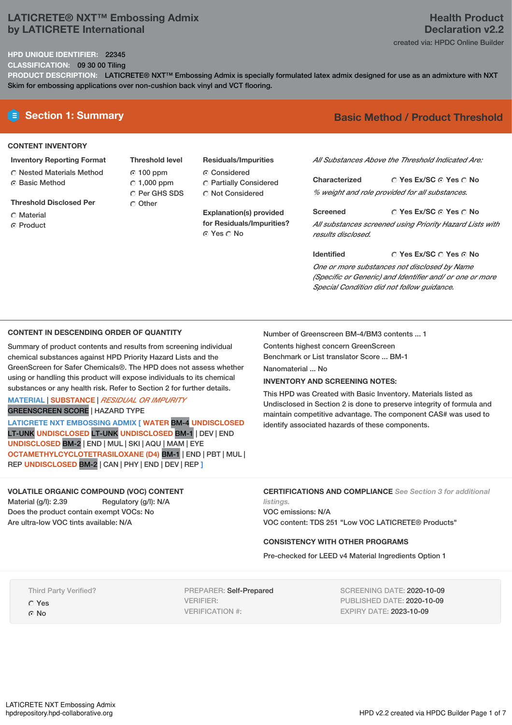## **LATICRETE® NXT™ Embossing Admix by LATICRETE International**

## **Health Product Declaration v2.2** created via: HPDC Online Builder

## **HPD UNIQUE IDENTIFIER:** 22345

**CLASSIFICATION:** 09 30 00 Tiling

**PRODUCT DESCRIPTION:** LATICRETE® NXT™ Embossing Admix is specially formulated latex admix designed for use as an admixture with NXT Skim for embossing applications over non-cushion back vinyl and VCT flooring.

## **CONTENT INVENTORY**

- **Inventory Reporting Format** Nested Materials Method
- **G** Basic Method
- **Threshold Disclosed Per**
- C Material
- **C** Product
- **Threshold level** 100 ppm  $C$  1,000 ppm Per GHS SDS O Other
- **Residuals/Impurities** Considered Partially Considered C Not Considered

**Explanation(s) provided for Residuals/Impurities?** © Yes ∩ No

# **E** Section 1: Summary **Basic** Method / Product Threshold

*All Substances Above the Threshold Indicated Are:*

**Yes Ex/SC Yes No Characterized** *% weight and role provided for all substances.*

**Yes Ex/SC Yes No Screened** *All substances screened using Priority Hazard Lists with results disclosed.*

**Yes Ex/SC Yes No Identified** *One or more substances not disclosed by Name (Specific or Generic) and Identifier and/ or one or more Special Condition did not follow guidance.*

## **CONTENT IN DESCENDING ORDER OF QUANTITY**

Summary of product contents and results from screening individual chemical substances against HPD Priority Hazard Lists and the GreenScreen for Safer Chemicals®. The HPD does not assess whether using or handling this product will expose individuals to its chemical substances or any health risk. Refer to Section 2 for further details.

### **MATERIAL** | **SUBSTANCE** | *RESIDUAL OR IMPURITY* GREENSCREEN SCORE | HAZARD TYPE

**LATICRETE NXT EMBOSSING ADMIX [ WATER** BM-4 **UNDISCLOSED** LT-UNK **UNDISCLOSED** LT-UNK **UNDISCLOSED** BM-1 | DEV | END **UNDISCLOSED** BM-2 | END | MUL | SKI | AQU | MAM | EYE **OCTAMETHYLCYCLOTETRASILOXANE (D4)** BM-1 | END | PBT | MUL | REP **UNDISCLOSED** BM-2 | CAN | PHY | END | DEV | REP **]**

## **VOLATILE ORGANIC COMPOUND (VOC) CONTENT**

Material (g/l): 2.39 Regulatory (g/l): N/A Does the product contain exempt VOCs: No Are ultra-low VOC tints available: N/A

Number of Greenscreen BM-4/BM3 contents ... 1

Contents highest concern GreenScreen

Benchmark or List translator Score ... BM-1

Nanomaterial ... No

### **INVENTORY AND SCREENING NOTES:**

This HPD was Created with Basic Inventory. Materials listed as Undisclosed in Section 2 is done to preserve integrity of formula and maintain competitive advantage. The component CAS# was used to identify associated hazards of these components.

#### **CERTIFICATIONS AND COMPLIANCE** *See Section 3 for additional listings.*

VOC emissions: N/A VOC content: TDS 251 "Low VOC LATICRETE® Products"

### **CONSISTENCY WITH OTHER PROGRAMS**

Pre-checked for LEED v4 Material Ingredients Option 1

Third Party Verified? Yes ⊙ No

PREPARER: Self-Prepared VERIFIER: VERIFICATION #:

SCREENING DATE: 2020-10-09 PUBLISHED DATE: 2020-10-09 EXPIRY DATE: 2023-10-09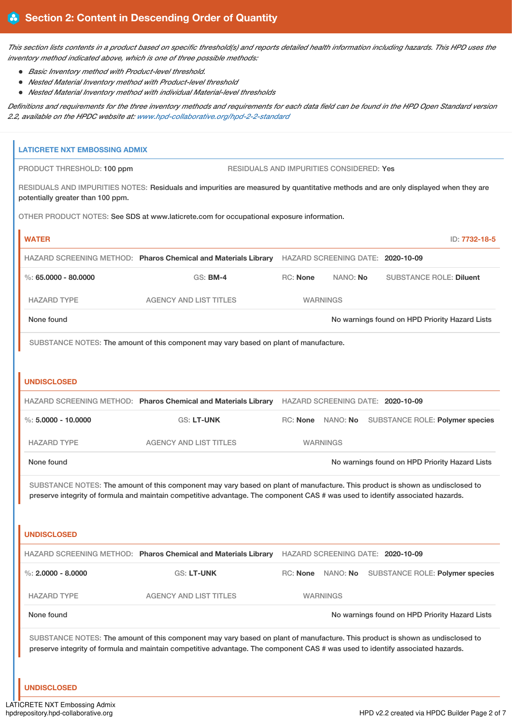This section lists contents in a product based on specific threshold(s) and reports detailed health information including hazards. This HPD uses the *inventory method indicated above, which is one of three possible methods:*

- *Basic Inventory method with Product-level threshold.*
- *Nested Material Inventory method with Product-level threshold*
- *Nested Material Inventory method with individual Material-level thresholds*

Definitions and requirements for the three inventory methods and requirements for each data field can be found in the HPD Open Standard version *2.2, available on the HPDC website at: [www.hpd-collaborative.org/hpd-2-2-standard](https://www.hpd-collaborative.org/hpd-2-2-standard)*

| <b>LATICRETE NXT EMBOSSING ADMIX</b> |                                                                                                                                                                                                                                                                 |                 |                                                 |                                                |
|--------------------------------------|-----------------------------------------------------------------------------------------------------------------------------------------------------------------------------------------------------------------------------------------------------------------|-----------------|-------------------------------------------------|------------------------------------------------|
| PRODUCT THRESHOLD: 100 ppm           |                                                                                                                                                                                                                                                                 |                 | <b>RESIDUALS AND IMPURITIES CONSIDERED: Yes</b> |                                                |
| potentially greater than 100 ppm.    | RESIDUALS AND IMPURITIES NOTES: Residuals and impurities are measured by quantitative methods and are only displayed when they are                                                                                                                              |                 |                                                 |                                                |
|                                      | OTHER PRODUCT NOTES: See SDS at www.laticrete.com for occupational exposure information.                                                                                                                                                                        |                 |                                                 |                                                |
| <b>WATER</b>                         |                                                                                                                                                                                                                                                                 |                 |                                                 | ID: 7732-18-5                                  |
|                                      | HAZARD SCREENING METHOD: Pharos Chemical and Materials Library HAZARD SCREENING DATE: 2020-10-09                                                                                                                                                                |                 |                                                 |                                                |
| %: 65,0000 - 80,0000                 | <b>GS: BM-4</b>                                                                                                                                                                                                                                                 | <b>RC: None</b> | NANO: No                                        | <b>SUBSTANCE ROLE: Diluent</b>                 |
| <b>HAZARD TYPE</b>                   | <b>AGENCY AND LIST TITLES</b>                                                                                                                                                                                                                                   |                 | <b>WARNINGS</b>                                 |                                                |
| None found                           |                                                                                                                                                                                                                                                                 |                 |                                                 | No warnings found on HPD Priority Hazard Lists |
|                                      | SUBSTANCE NOTES: The amount of this component may vary based on plant of manufacture.                                                                                                                                                                           |                 |                                                 |                                                |
|                                      |                                                                                                                                                                                                                                                                 |                 |                                                 |                                                |
| <b>UNDISCLOSED</b>                   |                                                                                                                                                                                                                                                                 |                 |                                                 |                                                |
|                                      | HAZARD SCREENING METHOD: Pharos Chemical and Materials Library HAZARD SCREENING DATE: 2020-10-09                                                                                                                                                                |                 |                                                 |                                                |
| $\%$ : 5,0000 - 10,0000              | GS: LT-UNK                                                                                                                                                                                                                                                      |                 | RC: None NANO: No                               | <b>SUBSTANCE ROLE: Polymer species</b>         |
| <b>HAZARD TYPE</b>                   | <b>AGENCY AND LIST TITLES</b>                                                                                                                                                                                                                                   |                 | <b>WARNINGS</b>                                 |                                                |
| None found                           |                                                                                                                                                                                                                                                                 |                 |                                                 | No warnings found on HPD Priority Hazard Lists |
|                                      | SUBSTANCE NOTES: The amount of this component may vary based on plant of manufacture. This product is shown as undisclosed to                                                                                                                                   |                 |                                                 |                                                |
|                                      | preserve integrity of formula and maintain competitive advantage. The component CAS # was used to identify associated hazards.                                                                                                                                  |                 |                                                 |                                                |
|                                      |                                                                                                                                                                                                                                                                 |                 |                                                 |                                                |
| <b>UNDISCLOSED</b>                   |                                                                                                                                                                                                                                                                 |                 |                                                 |                                                |
|                                      | HAZARD SCREENING METHOD: Pharos Chemical and Materials Library                                                                                                                                                                                                  |                 | HAZARD SCREENING DATE: 2020-10-09               |                                                |
| %: $2.0000 - 8.0000$                 | GS: LT-UNK                                                                                                                                                                                                                                                      | RC: None        | NANO: No                                        | <b>SUBSTANCE ROLE: Polymer species</b>         |
| <b>HAZARD TYPE</b>                   | <b>AGENCY AND LIST TITLES</b>                                                                                                                                                                                                                                   |                 | <b>WARNINGS</b>                                 |                                                |
| None found                           |                                                                                                                                                                                                                                                                 |                 |                                                 | No warnings found on HPD Priority Hazard Lists |
|                                      | SUBSTANCE NOTES: The amount of this component may vary based on plant of manufacture. This product is shown as undisclosed to<br>preserve integrity of formula and maintain competitive advantage. The component CAS # was used to identify associated hazards. |                 |                                                 |                                                |
| <b>UNDISCLOSED</b>                   |                                                                                                                                                                                                                                                                 |                 |                                                 |                                                |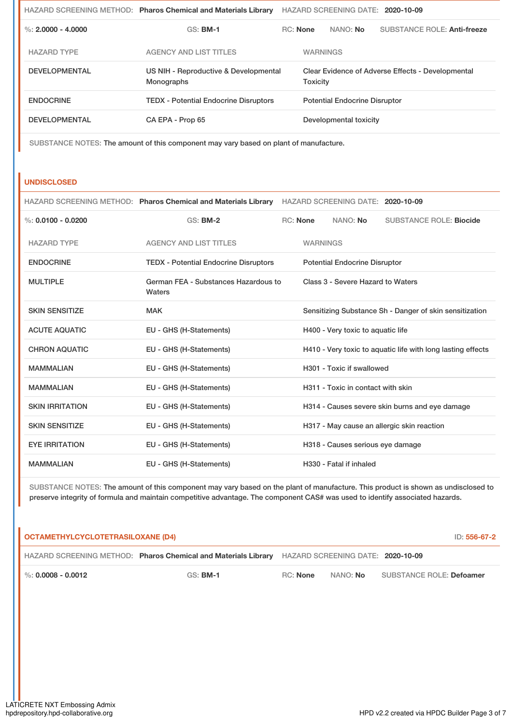|                      | HAZARD SCREENING METHOD: Pharos Chemical and Materials Library |                 | HAZARD SCREENING DATE: 2020-10-09                             |                             |  |
|----------------------|----------------------------------------------------------------|-----------------|---------------------------------------------------------------|-----------------------------|--|
| %: $2.0000 - 4.0000$ | <b>GS: BM-1</b>                                                | <b>RC:</b> None | NANO: No                                                      | SUBSTANCE ROLE: Anti-freeze |  |
| <b>HAZARD TYPE</b>   | <b>AGENCY AND LIST TITLES</b>                                  |                 | <b>WARNINGS</b>                                               |                             |  |
| <b>DEVELOPMENTAL</b> | US NIH - Reproductive & Developmental<br><b>Monographs</b>     |                 | Clear Evidence of Adverse Effects - Developmental<br>Toxicity |                             |  |
| <b>ENDOCRINE</b>     | <b>TEDX</b> - Potential Endocrine Disruptors                   |                 | <b>Potential Endocrine Disruptor</b>                          |                             |  |
| <b>DEVELOPMENTAL</b> | CA EPA - Prop 65                                               |                 | Developmental toxicity                                        |                             |  |

SUBSTANCE NOTES: The amount of this component may vary based on plant of manufacture.

#### **UNDISCLOSED**

|  | HAZARD SCREENING METHOD: Pharos Chemical and Materials Library HAZARD SCREENING DATE: 2020-10-09 |  |  |
|--|--------------------------------------------------------------------------------------------------|--|--|
|--|--------------------------------------------------------------------------------------------------|--|--|

| %: $0.0100 - 0.0200$   | <b>GS: BM-2</b>                                | <b>RC:</b> None | NANO: No                             | <b>SUBSTANCE ROLE: Biocide</b>                              |
|------------------------|------------------------------------------------|-----------------|--------------------------------------|-------------------------------------------------------------|
| <b>HAZARD TYPE</b>     | <b>AGENCY AND LIST TITLES</b>                  | <b>WARNINGS</b> |                                      |                                                             |
| <b>ENDOCRINE</b>       | <b>TEDX - Potential Endocrine Disruptors</b>   |                 | <b>Potential Endocrine Disruptor</b> |                                                             |
| <b>MULTIPLE</b>        | German FEA - Substances Hazardous to<br>Waters |                 | Class 3 - Severe Hazard to Waters    |                                                             |
| <b>SKIN SENSITIZE</b>  | <b>MAK</b>                                     |                 |                                      | Sensitizing Substance Sh - Danger of skin sensitization     |
| <b>ACUTE AQUATIC</b>   | EU - GHS (H-Statements)                        |                 | H400 - Very toxic to aquatic life    |                                                             |
| <b>CHRON AQUATIC</b>   | EU - GHS (H-Statements)                        |                 |                                      | H410 - Very toxic to aquatic life with long lasting effects |
| <b>MAMMALIAN</b>       | EU - GHS (H-Statements)                        |                 | H301 - Toxic if swallowed            |                                                             |
| <b>MAMMALIAN</b>       | EU - GHS (H-Statements)                        |                 | H311 - Toxic in contact with skin    |                                                             |
| <b>SKIN IRRITATION</b> | EU - GHS (H-Statements)                        |                 |                                      | H314 - Causes severe skin burns and eye damage              |
| <b>SKIN SENSITIZE</b>  | EU - GHS (H-Statements)                        |                 |                                      | H317 - May cause an allergic skin reaction                  |
| <b>EYE IRRITATION</b>  | EU - GHS (H-Statements)                        |                 | H318 - Causes serious eye damage     |                                                             |
| <b>MAMMALIAN</b>       | EU - GHS (H-Statements)                        |                 | H330 - Fatal if inhaled              |                                                             |

SUBSTANCE NOTES: The amount of this component may vary based on the plant of manufacture. This product is shown as undisclosed to preserve integrity of formula and maintain competitive advantage. The component CAS# was used to identify associated hazards.

| OCTAMETHYLCYCLOTETRASILOXANE (D4)                                                                |                 |          |                 |                                 | ID: 556-67-2 |
|--------------------------------------------------------------------------------------------------|-----------------|----------|-----------------|---------------------------------|--------------|
| HAZARD SCREENING METHOD: Pharos Chemical and Materials Library HAZARD SCREENING DATE: 2020-10-09 |                 |          |                 |                                 |              |
| $\%$ : 0.0008 - 0.0012                                                                           | GS: <b>BM-1</b> | RC: None | NANO: <b>No</b> | <b>SUBSTANCE ROLE: Defoamer</b> |              |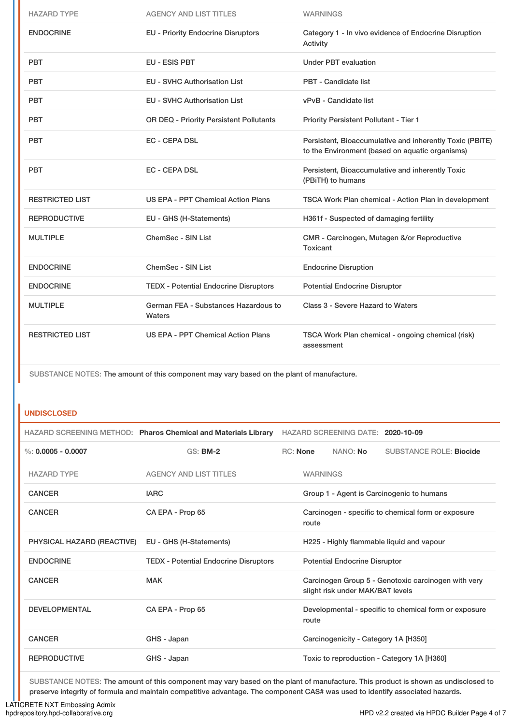| <b>HAZARD TYPE</b>     | <b>AGENCY AND LIST TITLES</b>                  | <b>WARNINGS</b>                                                                                             |
|------------------------|------------------------------------------------|-------------------------------------------------------------------------------------------------------------|
| <b>ENDOCRINE</b>       | <b>EU - Priority Endocrine Disruptors</b>      | Category 1 - In vivo evidence of Endocrine Disruption<br>Activity                                           |
| <b>PBT</b>             | EU - ESIS PBT                                  | <b>Under PBT evaluation</b>                                                                                 |
| <b>PBT</b>             | <b>EU - SVHC Authorisation List</b>            | <b>PBT - Candidate list</b>                                                                                 |
| <b>PBT</b>             | <b>EU - SVHC Authorisation List</b>            | vPvB - Candidate list                                                                                       |
| <b>PBT</b>             | OR DEQ - Priority Persistent Pollutants        | Priority Persistent Pollutant - Tier 1                                                                      |
| <b>PBT</b>             | <b>EC - CEPA DSL</b>                           | Persistent, Bioaccumulative and inherently Toxic (PBiTE)<br>to the Environment (based on aquatic organisms) |
| <b>PBT</b>             | <b>EC - CEPA DSL</b>                           | Persistent, Bioaccumulative and inherently Toxic<br>(PBiTH) to humans                                       |
| <b>RESTRICTED LIST</b> | US EPA - PPT Chemical Action Plans             | TSCA Work Plan chemical - Action Plan in development                                                        |
| <b>REPRODUCTIVE</b>    | EU - GHS (H-Statements)                        | H361f - Suspected of damaging fertility                                                                     |
| <b>MULTIPLE</b>        | ChemSec - SIN List                             | CMR - Carcinogen, Mutagen &/or Reproductive<br>Toxicant                                                     |
| <b>ENDOCRINE</b>       | ChemSec - SIN List                             | <b>Endocrine Disruption</b>                                                                                 |
| <b>ENDOCRINE</b>       | <b>TEDX - Potential Endocrine Disruptors</b>   | <b>Potential Endocrine Disruptor</b>                                                                        |
| <b>MULTIPLE</b>        | German FEA - Substances Hazardous to<br>Waters | Class 3 - Severe Hazard to Waters                                                                           |
| <b>RESTRICTED LIST</b> | <b>US EPA - PPT Chemical Action Plans</b>      | TSCA Work Plan chemical - ongoing chemical (risk)<br>assessment                                             |

SUBSTANCE NOTES: The amount of this component may vary based on the plant of manufacture.

#### **UNDISCLOSED**

|                            | HAZARD SCREENING METHOD: Pharos Chemical and Materials Library |                 | HAZARD SCREENING DATE: 2020-10-09    |                                                       |
|----------------------------|----------------------------------------------------------------|-----------------|--------------------------------------|-------------------------------------------------------|
| %: $0.0005 - 0.0007$       | <b>GS: BM-2</b>                                                | <b>RC: None</b> | NANO: No                             | <b>SUBSTANCE ROLE: Biocide</b>                        |
| <b>HAZARD TYPE</b>         | <b>AGENCY AND LIST TITLES</b>                                  | <b>WARNINGS</b> |                                      |                                                       |
| <b>CANCER</b>              | <b>IARC</b>                                                    |                 |                                      | Group 1 - Agent is Carcinogenic to humans             |
| <b>CANCER</b>              | CA EPA - Prop 65                                               | route           |                                      | Carcinogen - specific to chemical form or exposure    |
| PHYSICAL HAZARD (REACTIVE) | EU - GHS (H-Statements)                                        |                 |                                      | H225 - Highly flammable liquid and vapour             |
| <b>ENDOCRINE</b>           | <b>TEDX - Potential Endocrine Disruptors</b>                   |                 | <b>Potential Endocrine Disruptor</b> |                                                       |
| <b>CANCER</b>              | <b>MAK</b>                                                     |                 | slight risk under MAK/BAT levels     | Carcinogen Group 5 - Genotoxic carcinogen with very   |
| <b>DEVELOPMENTAL</b>       | CA EPA - Prop 65                                               | route           |                                      | Developmental - specific to chemical form or exposure |
| <b>CANCER</b>              | GHS - Japan                                                    |                 | Carcinogenicity - Category 1A [H350] |                                                       |
| <b>REPRODUCTIVE</b>        | GHS - Japan                                                    |                 |                                      | Toxic to reproduction - Category 1A [H360]            |

SUBSTANCE NOTES: The amount of this component may vary based on the plant of manufacture. This product is shown as undisclosed to preserve integrity of formula and maintain competitive advantage. The component CAS# was used to identify associated hazards.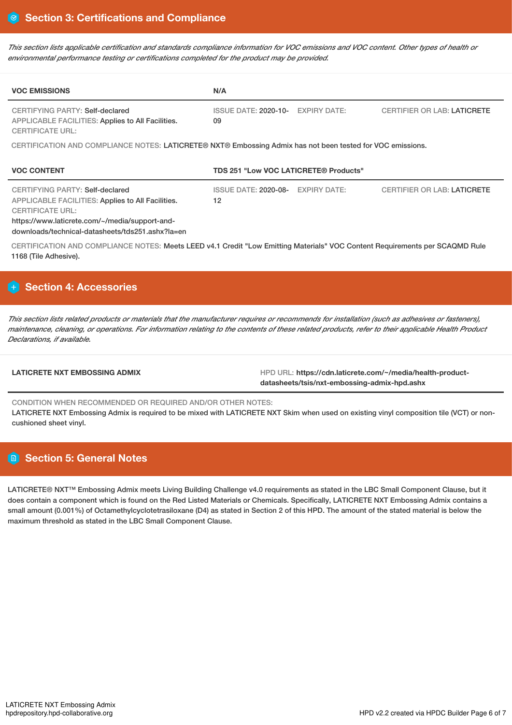This section lists applicable certification and standards compliance information for VOC emissions and VOC content. Other types of health or *environmental performance testing or certifications completed for the product may be provided.*

| <b>VOC EMISSIONS</b>                                                                                                                                                                                                         | N/A                                                      |                                    |
|------------------------------------------------------------------------------------------------------------------------------------------------------------------------------------------------------------------------------|----------------------------------------------------------|------------------------------------|
| CERTIFYING PARTY: Self-declared<br>APPLICABLE FACILITIES: Applies to All Facilities.<br><b>CERTIFICATE URL:</b>                                                                                                              | <b>ISSUE DATE: 2020-10-</b><br><b>EXPIRY DATE:</b><br>09 | <b>CERTIFIER OR LAB: LATICRETE</b> |
| CERTIFICATION AND COMPLIANCE NOTES: LATICRETE® NXT® Embossing Admix has not been tested for VOC emissions.                                                                                                                   |                                                          |                                    |
| <b>VOC CONTENT</b>                                                                                                                                                                                                           | TDS 251 "Low VOC LATICRETE® Products"                    |                                    |
| CERTIFYING PARTY: Self-declared<br><b>APPLICABLE FACILITIES: Applies to All Facilities.</b><br><b>CERTIFICATE URL:</b><br>https://www.laticrete.com/~/media/support-and-<br>downloads/technical-datasheets/tds251.ashx?la=en | <b>ISSUE DATE: 2020-08-</b><br><b>EXPIRY DATE:</b><br>12 | <b>CERTIFIER OR LAB: LATICRETE</b> |
| CERTIFICATION AND COMPLIANCE NOTES: Meets LEED v4.1 Credit "Low Emitting Materials" VOC Content Requirements per SCAQMD Rule<br>1168 (Tile Adhesive).                                                                        |                                                          |                                    |
|                                                                                                                                                                                                                              |                                                          |                                    |

## **Section 4: Accessories**

This section lists related products or materials that the manufacturer requires or recommends for installation (such as adhesives or fasteners), maintenance, cleaning, or operations. For information relating to the contents of these related products, refer to their applicable Health Product *Declarations, if available.*

LATICRETE NXT EMBOSSING ADMIX **ADMIX** HPD URL: https://cdn.laticrete.com/~/media/health-product**datasheets/tsis/nxt-embossing-admix-hpd.ashx**

CONDITION WHEN RECOMMENDED OR REQUIRED AND/OR OTHER NOTES: LATICRETE NXT Embossing Admix is required to be mixed with LATICRETE NXT Skim when used on existing vinyl composition tile (VCT) or noncushioned sheet vinyl.

# **Section 5: General Notes**

LATICRETE® NXT™ Embossing Admix meets Living Building Challenge v4.0 requirements as stated in the LBC Small Component Clause, but it does contain a component which is found on the Red Listed Materials or Chemicals. Specifically, LATICRETE NXT Embossing Admix contains a small amount (0.001%) of Octamethylcyclotetrasiloxane (D4) as stated in Section 2 of this HPD. The amount of the stated material is below the maximum threshold as stated in the LBC Small Component Clause.